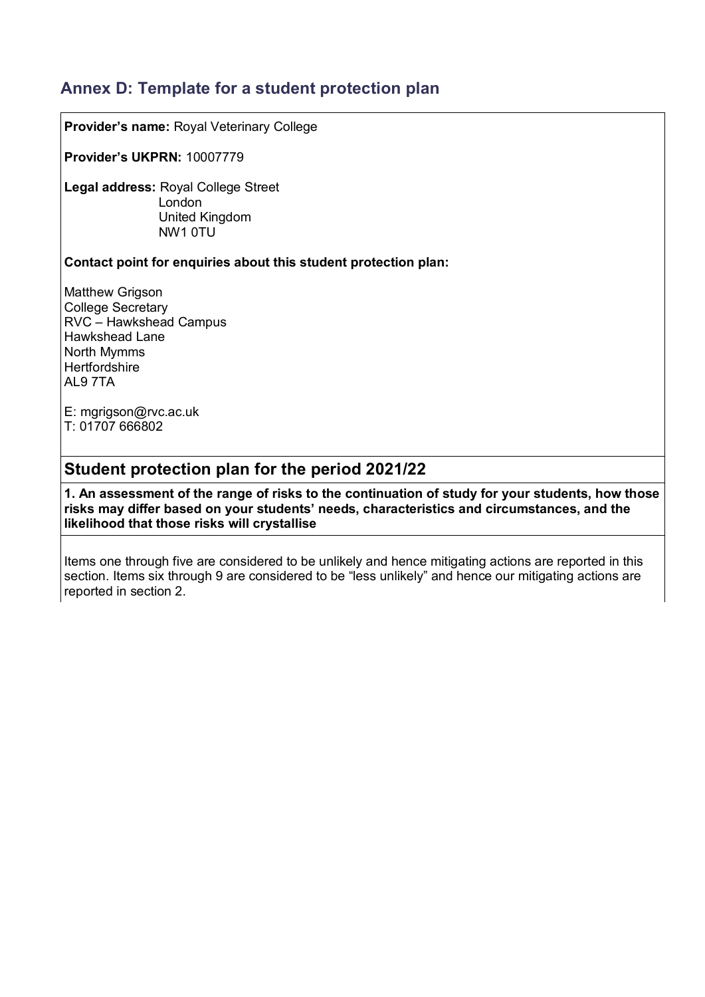# **Annex D: Template for a student protection plan**

**Provider's name:** Royal Veterinary College

**Provider's UKPRN:** 10007779

**Legal address:** Royal College Street London United Kingdom NW1 0TU

#### **Contact point for enquiries about this student protection plan:**

Matthew Grigson College Secretary RVC – Hawkshead Campus Hawkshead Lane North Mymms **Hertfordshire** AL9 7TA

E: [mgrigson@rvc.ac.uk](mailto:mgrigson@rvc.ac.uk) T: 01707 666802

## **Student protection plan for the period 2021/22**

**1. An assessment of the range of risks to the continuation of study for your students, how those risks may differ based on your students' needs, characteristics and circumstances, and the likelihood that those risks will crystallise**

Items one through five are considered to be unlikely and hence mitigating actions are reported in this section. Items six through 9 are considered to be "less unlikely" and hence our mitigating actions are reported in section 2.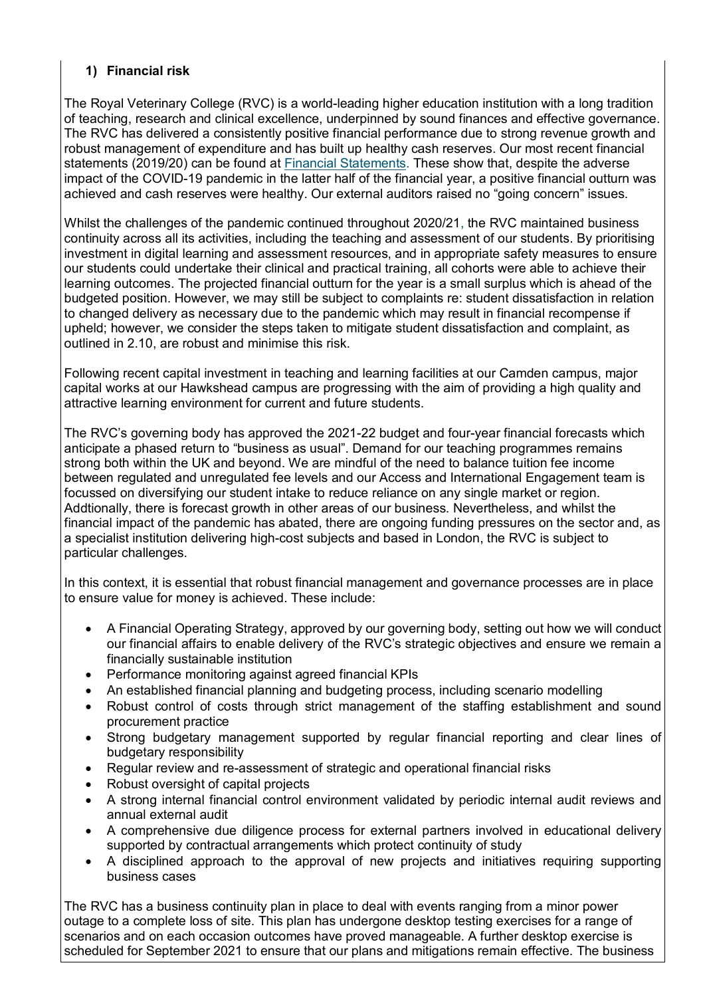#### **1) Financial risk**

The Royal Veterinary College (RVC) is a world-leading higher education institution with a long tradition of teaching, research and clinical excellence, underpinned by sound finances and effective governance. The RVC has delivered a consistently positive financial performance due to strong revenue growth and robust management of expenditure and has built up healthy cash reserves. Our most recent financial statements (2019/20) can be found at [Financial Statements.](https://www.rvc.ac.uk/Media/Default/About/Governance,%20Policy%20and%20Legal/Policy%20and%20Legal/annual-report-and-financial-statements-2019-2020.pdf) These show that, despite the adverse impact of the COVID-19 pandemic in the latter half of the financial year, a positive financial outturn was achieved and cash reserves were healthy. Our external auditors raised no "going concern" issues.

Whilst the challenges of the pandemic continued throughout 2020/21, the RVC maintained business continuity across all its activities, including the teaching and assessment of our students. By prioritising investment in digital learning and assessment resources, and in appropriate safety measures to ensure our students could undertake their clinical and practical training, all cohorts were able to achieve their learning outcomes. The projected financial outturn for the year is a small surplus which is ahead of the budgeted position. However, we may still be subject to complaints re: student dissatisfaction in relation to changed delivery as necessary due to the pandemic which may result in financial recompense if upheld; however, we consider the steps taken to mitigate student dissatisfaction and complaint, as outlined in 2.10, are robust and minimise this risk.

Following recent capital investment in teaching and learning facilities at our Camden campus, major capital works at our Hawkshead campus are progressing with the aim of providing a high quality and attractive learning environment for current and future students.

The RVC's governing body has approved the 2021-22 budget and four-year financial forecasts which anticipate a phased return to "business as usual". Demand for our teaching programmes remains strong both within the UK and beyond. We are mindful of the need to balance tuition fee income between regulated and unregulated fee levels and our Access and International Engagement team is focussed on diversifying our student intake to reduce reliance on any single market or region. Addtionally, there is forecast growth in other areas of our business. Nevertheless, and whilst the financial impact of the pandemic has abated, there are ongoing funding pressures on the sector and, as a specialist institution delivering high-cost subjects and based in London, the RVC is subject to particular challenges.

In this context, it is essential that robust financial management and governance processes are in place to ensure value for money is achieved. These include:

- A Financial Operating Strategy, approved by our governing body, setting out how we will conduct our financial affairs to enable delivery of the RVC's strategic objectives and ensure we remain a financially sustainable institution
- Performance monitoring against agreed financial KPIs
- An established financial planning and budgeting process, including scenario modelling
- Robust control of costs through strict management of the staffing establishment and sound procurement practice
- Strong budgetary management supported by regular financial reporting and clear lines of budgetary responsibility
- Regular review and re-assessment of strategic and operational financial risks
- Robust oversight of capital projects
- A strong internal financial control environment validated by periodic internal audit reviews and annual external audit
- A comprehensive due diligence process for external partners involved in educational delivery supported by contractual arrangements which protect continuity of study
- A disciplined approach to the approval of new projects and initiatives requiring supporting business cases

The RVC has a business continuity plan in place to deal with events ranging from a minor power outage to a complete loss of site. This plan has undergone desktop testing exercises for a range of scenarios and on each occasion outcomes have proved manageable. A further desktop exercise is scheduled for September 2021 to ensure that our plans and mitigations remain effective. The business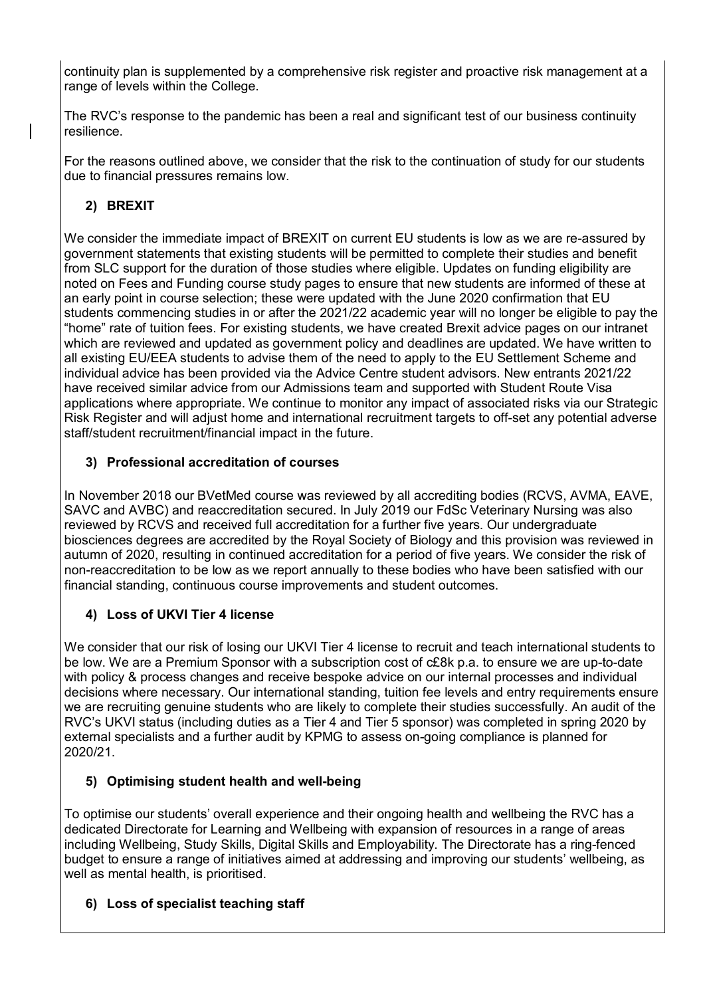continuity plan is supplemented by a comprehensive risk register and proactive risk management at a range of levels within the College.

The RVC's response to the pandemic has been a real and significant test of our business continuity resilience.

For the reasons outlined above, we consider that the risk to the continuation of study for our students due to financial pressures remains low.

## **2) BREXIT**

We consider the immediate impact of BREXIT on current EU students is low as we are re-assured by government statements that existing students will be permitted to complete their studies and benefit from SLC support for the duration of those studies where eligible. Updates on funding eligibility are noted on Fees and Funding course study pages to ensure that new students are informed of these at an early point in course selection; these were updated with the June 2020 confirmation that EU students commencing studies in or after the 2021/22 academic year will no longer be eligible to pay the "home" rate of tuition fees. For existing students, we have created [Brexit advice pages](https://intranet.rvc.ac.uk/information-and-services/brexit/index.cfm) on our intranet which are reviewed and updated as government policy and deadlines are updated. We have written to all existing EU/EEA students to advise them of the need to apply to the EU Settlement Scheme and individual advice has been provided via the Advice Centre student advisors. New entrants 2021/22 have received similar advice from our Admissions team and supported with Student Route Visa applications where appropriate. We continue to monitor any impact of associated risks via our Strategic Risk Register and will adjust home and international recruitment targets to off-set any potential adverse staff/student recruitment/financial impact in the future.

### **3) Professional accreditation of courses**

In November 2018 our BVetMed course was reviewed by all accrediting bodies (RCVS, AVMA, EAVE, SAVC and AVBC) and reaccreditation secured. In July 2019 our FdSc Veterinary Nursing was also reviewed by RCVS and received full accreditation for a further five years. Our undergraduate biosciences degrees are accredited by the Royal Society of Biology and this provision was reviewed in autumn of 2020, resulting in continued accreditation for a period of five years. We consider the risk of non-reaccreditation to be low as we report annually to these bodies who have been satisfied with our financial standing, continuous course improvements and student outcomes.

## **4) Loss of UKVI Tier 4 license**

We consider that our risk of losing our UKVI Tier 4 license to recruit and teach international students to be low. We are a Premium Sponsor with a subscription cost of c£8k p.a. to ensure we are up-to-date with policy & process changes and receive bespoke advice on our internal processes and individual decisions where necessary. Our international standing, tuition fee levels and entry requirements ensure we are recruiting genuine students who are likely to complete their studies successfully. An audit of the RVC's UKVI status (including duties as a Tier 4 and Tier 5 sponsor) was completed in spring 2020 by external specialists and a further audit by KPMG to assess on-going compliance is planned for 2020/21.

### **5) Optimising student health and well-being**

To optimise our students' overall experience and their ongoing health and wellbeing the RVC has a dedicated Directorate for Learning and Wellbeing with expansion of resources in a range of areas including Wellbeing, Study Skills, Digital Skills and Employability. The Directorate has a ring-fenced budget to ensure a range of initiatives aimed at addressing and improving our students' wellbeing, as well as mental health, is prioritised.

### **6) Loss of specialist teaching staff**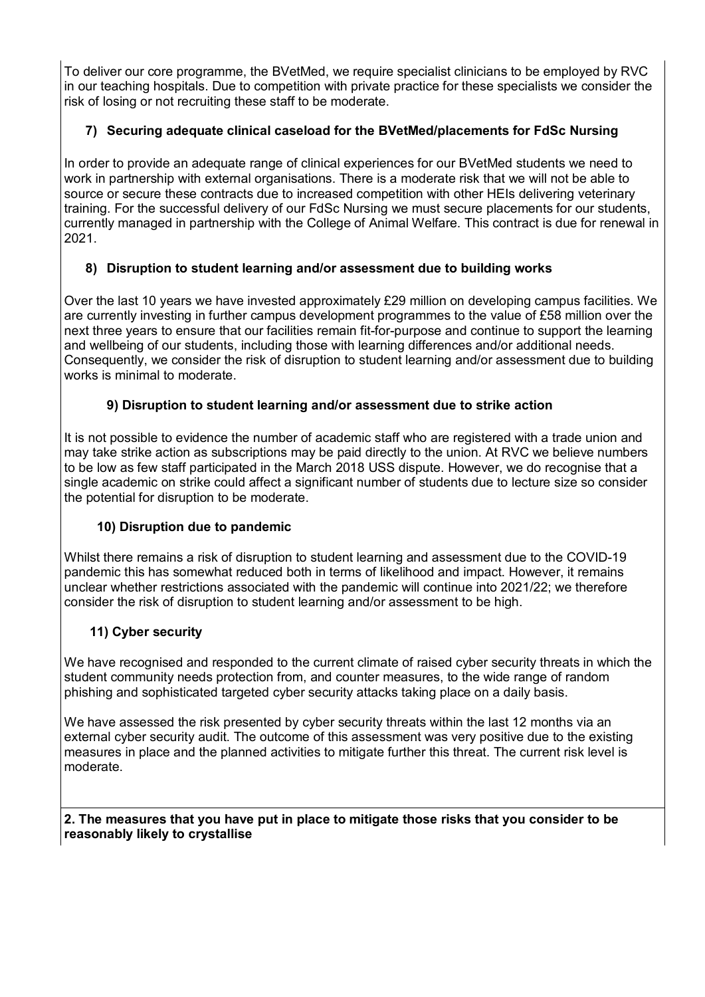To deliver our core programme, the BVetMed, we require specialist clinicians to be employed by RVC in our teaching hospitals. Due to competition with private practice for these specialists we consider the risk of losing or not recruiting these staff to be moderate.

### **7) Securing adequate clinical caseload for the BVetMed/placements for FdSc Nursing**

In order to provide an adequate range of clinical experiences for our BVetMed students we need to work in partnership with external organisations. There is a moderate risk that we will not be able to source or secure these contracts due to increased competition with other HEIs delivering veterinary training. For the successful delivery of our FdSc Nursing we must secure placements for our students, currently managed in partnership with the College of Animal Welfare. This contract is due for renewal in 2021.

### **8) Disruption to student learning and/or assessment due to building works**

Over the last 10 years we have invested approximately £29 million on developing campus facilities. We are currently investing in further campus development programmes to the value of £58 million over the next three years to ensure that our facilities remain fit-for-purpose and continue to support the learning and wellbeing of our students, including those with learning differences and/or additional needs. Consequently, we consider the risk of disruption to student learning and/or assessment due to building works is minimal to moderate.

### **9) Disruption to student learning and/or assessment due to strike action**

It is not possible to evidence the number of academic staff who are registered with a trade union and may take strike action as subscriptions may be paid directly to the union. At RVC we believe numbers to be low as few staff participated in the March 2018 USS dispute. However, we do recognise that a single academic on strike could affect a significant number of students due to lecture size so consider the potential for disruption to be moderate.

### **10) Disruption due to pandemic**

Whilst there remains a risk of disruption to student learning and assessment due to the COVID-19 pandemic this has somewhat reduced both in terms of likelihood and impact. However, it remains unclear whether restrictions associated with the pandemic will continue into 2021/22; we therefore consider the risk of disruption to student learning and/or assessment to be high.

### **11) Cyber security**

We have recognised and responded to the current climate of raised cyber security threats in which the student community needs protection from, and counter measures, to the wide range of random phishing and sophisticated targeted cyber security attacks taking place on a daily basis.

We have assessed the risk presented by cyber security threats within the last 12 months via an external cyber security audit. The outcome of this assessment was very positive due to the existing measures in place and the planned activities to mitigate further this threat. The current risk level is moderate.

#### **2. The measures that you have put in place to mitigate those risks that you consider to be reasonably likely to crystallise**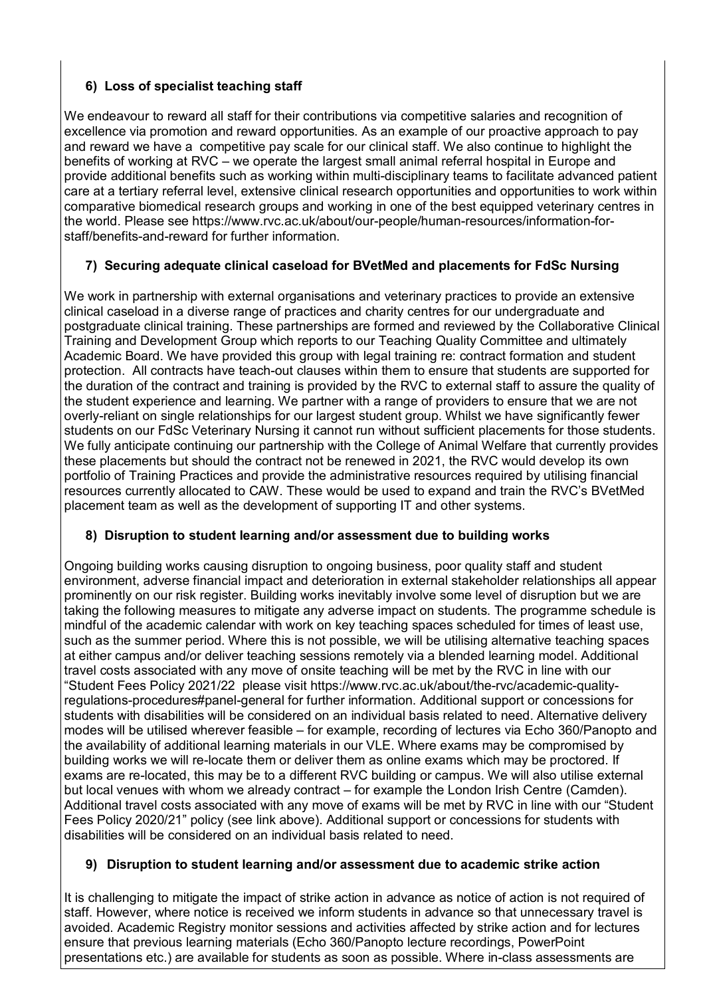### **6) Loss of specialist teaching staff**

We endeavour to reward all staff for their contributions via competitive salaries and recognition of excellence via [promotion](https://intranet.rvc.ac.uk/hr-internal/induction-probabtion-promotion/promotion.cfm) and [reward](https://www.rvc.ac.uk/about/our-people/human-resources/a-to-z#panel-q-z) opportunities. As an example of our proactive approach to pay and reward we have a competitive pay scale for our clinical staff. We also continue to highlight the benefits of working at RVC – we operate the largest small animal referral hospital in Europe and provide additional benefits such as working within multi-disciplinary teams to facilitate advanced patient care at a tertiary referral level, extensive clinical research opportunities and opportunities to work within comparative biomedical research groups and working in one of the best equipped veterinary centres in the world. Please see [https://www.rvc.ac.uk/about/our-people/human-resources/information-for](https://www.rvc.ac.uk/about/our-people/human-resources/information-for-staff/benefits-and-reward)[staff/benefits-and-reward](https://www.rvc.ac.uk/about/our-people/human-resources/information-for-staff/benefits-and-reward) for further information.

### **7) Securing adequate clinical caseload for BVetMed and placements for FdSc Nursing**

We work in partnership with external organisations and veterinary practices to provide an extensive clinical caseload in a diverse range of practices and charity centres for our undergraduate and postgraduate clinical training. These partnerships are formed and reviewed by the Collaborative Clinical Training and Development Group which reports to our Teaching Quality Committee and ultimately Academic Board. We have provided this group with legal training re: contract formation and student protection. All contracts have teach-out clauses within them to ensure that students are supported for the duration of the contract and training is provided by the RVC to external staff to assure the quality of the student experience and learning. We partner with a range of providers to ensure that we are not overly-reliant on single relationships for our largest student group. Whilst we have significantly fewer students on our FdSc Veterinary Nursing it cannot run without sufficient placements for those students. We fully anticipate continuing our partnership with the College of Animal Welfare that currently provides these placements but should the contract not be renewed in 2021, the RVC would develop its own portfolio of Training Practices and provide the administrative resources required by utilising financial resources currently allocated to CAW. These would be used to expand and train the RVC's BVetMed placement team as well as the development of supporting IT and other systems.

### **8) Disruption to student learning and/or assessment due to building works**

Ongoing building works causing disruption to ongoing business, poor quality staff and student environment, adverse financial impact and deterioration in external stakeholder relationships all appear prominently on our risk register. Building works inevitably involve some level of disruption but we are taking the following measures to mitigate any adverse impact on students. The programme schedule is mindful of the academic calendar with work on key teaching spaces scheduled for times of least use, such as the summer period. Where this is not possible, we will be utilising alternative teaching spaces at either campus and/or deliver teaching sessions remotely via a blended learning model. Additional travel costs associated with any move of onsite teaching will be met by the RVC in line with our "Student Fees Policy 2021/22 please visit [https://www.rvc.ac.uk/about/the-rvc/academic-quality](https://www.rvc.ac.uk/about/the-rvc/academic-quality-regulations-procedures#panel-general)[regulations-procedures#panel-general](https://www.rvc.ac.uk/about/the-rvc/academic-quality-regulations-procedures#panel-general) for further information. Additional support or concessions for students with disabilities will be considered on an individual basis related to need. Alternative delivery modes will be utilised wherever feasible – for example, recording of lectures via Echo 360/Panopto and the availability of additional learning materials in our VLE. Where exams may be compromised by building works we will re-locate them or deliver them as online exams which may be proctored. If exams are re-located, this may be to a different RVC building or campus. We will also utilise external but local venues with whom we already contract – for example the London Irish Centre (Camden). Additional travel costs associated with any move of exams will be met by RVC in line with our ["Student](https://www.rvc.ac.uk/Media/Default/About/Academic%20Quality,%20Regulations%20and%20Procedures/General/ChargesToStudents.pdf)  [Fees Policy 2020/21"](https://www.rvc.ac.uk/Media/Default/About/Academic%20Quality,%20Regulations%20and%20Procedures/General/ChargesToStudents.pdf) policy (see link above). Additional support or concessions for students with disabilities will be considered on an individual basis related to need.

### **9) Disruption to student learning and/or assessment due to academic strike action**

It is challenging to mitigate the impact of strike action in advance as notice of action is not required of staff. However, where notice is received we inform students in advance so that unnecessary travel is avoided. Academic Registry monitor sessions and activities affected by strike action and for lectures ensure that previous learning materials (Echo 360/Panopto lecture recordings, PowerPoint presentations etc.) are available for students as soon as possible. Where in-class assessments are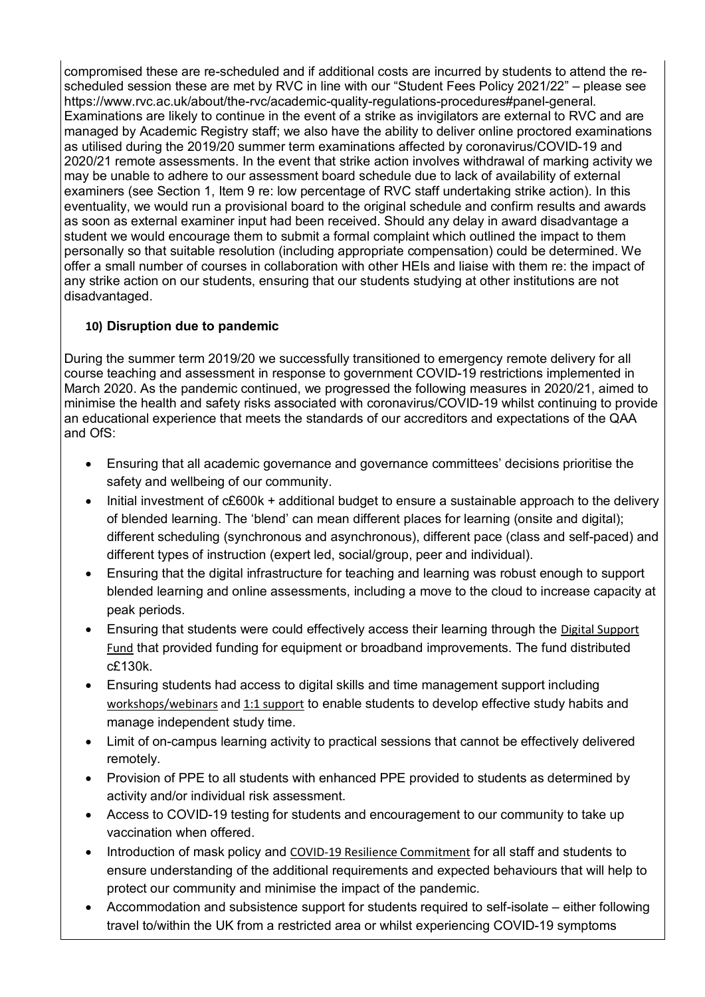compromised these are re-scheduled and if additional costs are incurred by students to attend the rescheduled session these are met by RVC in line with our "Student Fees Policy 2021/22" – please see https://www.rvc.ac.uk/about/the-rvc/academic-quality-regulations-procedures#panel-general. Examinations are likely to continue in the event of a strike as invigilators are external to RVC and are managed by Academic Registry staff; we also have the ability to deliver online proctored examinations as utilised during the 2019/20 summer term examinations affected by coronavirus/COVID-19 and 2020/21 remote assessments. In the event that strike action involves withdrawal of marking activity we may be unable to adhere to our assessment board schedule due to lack of availability of external examiners (see Section 1, Item 9 re: low percentage of RVC staff undertaking strike action). In this eventuality, we would run a provisional board to the original schedule and confirm results and awards as soon as external examiner input had been received. Should any delay in award disadvantage a student we would encourage them to submit a formal complaint which outlined the impact to them personally so that suitable resolution (including appropriate compensation) could be determined. We offer a small number of courses in collaboration with other HEIs and liaise with them re: the impact of any strike action on our students, ensuring that our students studying at other institutions are not disadvantaged.

### **10) Disruption due to pandemic**

During the summer term 2019/20 we successfully transitioned to emergency remote delivery for all course teaching and assessment in response to government COVID-19 restrictions implemented in March 2020. As the pandemic continued, we progressed the following measures in 2020/21, aimed to minimise the health and safety risks associated with coronavirus/COVID-19 whilst continuing to provide an educational experience that meets the standards of our accreditors and expectations of the QAA and OfS:

- Ensuring that all academic governance and governance committees' decisions prioritise the safety and wellbeing of our community.
- Initial investment of c£600k + additional budget to ensure a sustainable approach to the delivery of [blended learning.](https://www.rvc.ac.uk/study/blended-learning) The 'blend' can mean different places for learning (onsite and digital); different scheduling (synchronous and asynchronous), different pace (class and self-paced) and different types of instruction (expert led, social/group, peer and individual).
- Ensuring that the digital infrastructure for teaching and learning was robust enough to support blended learning and online assessments, including a move to the cloud to increase capacity at peak periods.
- Ensuring that students were could effectively access their learning through the [Digital Support](https://www.rvc.ac.uk/study/support-for-students/getting-support/money-matters/rvc-funds-grants-bursaries#panel-digital-support-fund)  [Fund](https://www.rvc.ac.uk/study/support-for-students/getting-support/money-matters/rvc-funds-grants-bursaries#panel-digital-support-fund) that provided funding for equipment or broadband improvements. The fund distributed c£130k.
- Ensuring students had access to digital skills and time management support including [workshops/webinars](https://www.rvc.ac.uk/study/blended-learning/delivery) and 1:1 support to enable students to develop effective study habits and manage independent study time.
- Limit of on-campus learning activity to practical sessions that cannot be effectively delivered remotely.
- Provision of PPE to all students with enhanced PPE provided to students as determined by activity and/or individual risk assessment.
- Access to COVID-19 testing for students and encouragement to our community to take up vaccination when offered.
- Introduction of mask policy and [COVID-19 Resilience Commitment](https://www.rvc.ac.uk/Media/Default/COVID-19/Documents/rvc-covid-19-resilience-commitment.pdf) for all staff and students to ensure understanding of the additional requirements and expected behaviours that will help to protect our community and minimise the impact of the pandemic.
- Accommodation and subsistence support for students required to self-isolate either following travel to/within the UK from a restricted area or whilst experiencing COVID-19 symptoms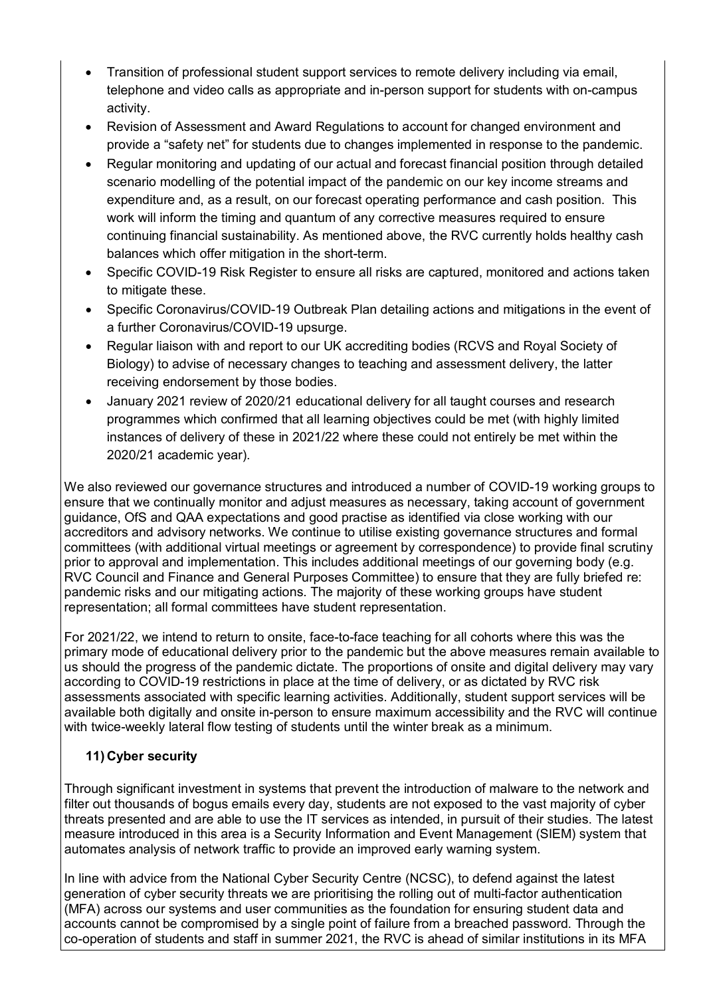- Transition of professional student support services to remote delivery including via email, telephone and video calls as appropriate and in-person support for students with on-campus activity.
- Revision of Assessment and Award Regulations to account for changed environment and provide a "safety net" for students due to changes implemented in response to the pandemic.
- Regular monitoring and updating of our actual and forecast financial position through detailed scenario modelling of the potential impact of the pandemic on our key income streams and expenditure and, as a result, on our forecast operating performance and cash position. This work will inform the timing and quantum of any corrective measures required to ensure continuing financial sustainability. As mentioned above, the RVC currently holds healthy cash balances which offer mitigation in the short-term.
- Specific COVID-19 Risk Register to ensure all risks are captured, monitored and actions taken to mitigate these.
- Specific Coronavirus/COVID-19 Outbreak Plan detailing actions and mitigations in the event of a further Coronavirus/COVID-19 upsurge.
- Regular liaison with and report to our UK accrediting bodies (RCVS and Royal Society of Biology) to advise of necessary changes to teaching and assessment delivery, the latter receiving endorsement by those bodies.
- January 2021 review of 2020/21 educational delivery for all taught courses and research programmes which confirmed that all learning objectives could be met (with highly limited instances of delivery of these in 2021/22 where these could not entirely be met within the 2020/21 academic year).

We also reviewed our governance structures and introduced a number of COVID-19 working groups to ensure that we continually monitor and adjust measures as necessary, taking account of government guidance, OfS and QAA expectations and good practise as identified via close working with our accreditors and advisory networks. We continue to utilise existing governance structures and formal committees (with additional virtual meetings or agreement by correspondence) to provide final scrutiny prior to approval and implementation. This includes additional meetings of our governing body (e.g. RVC Council and Finance and General Purposes Committee) to ensure that they are fully briefed re: pandemic risks and our mitigating actions. The majority of these working groups have student representation; all formal committees have student representation.

For 2021/22, we intend to return to onsite, face-to-face teaching for all cohorts where this was the primary mode of educational delivery prior to the pandemic but the above measures remain available to us should the progress of the pandemic dictate. The proportions of onsite and digital delivery may vary according to COVID-19 restrictions in place at the time of delivery, or as dictated by RVC risk assessments associated with specific learning activities. Additionally, student support services will be available both digitally and onsite in-person to ensure maximum accessibility and the RVC will continue with twice-weekly lateral flow testing of students until the winter break as a minimum.

### **11) Cyber security**

Through significant investment in systems that prevent the introduction of malware to the network and filter out thousands of bogus emails every day, students are not exposed to the vast majority of cyber threats presented and are able to use the IT services as intended, in pursuit of their studies. The latest measure introduced in this area is a Security Information and Event Management (SIEM) system that automates analysis of network traffic to provide an improved early warning system.

In line with advice from the National Cyber Security Centre (NCSC), to defend against the latest generation of cyber security threats we are prioritising the rolling out of multi-factor authentication (MFA) across our systems and user communities as the foundation for ensuring student data and accounts cannot be compromised by a single point of failure from a breached password. Through the co-operation of students and staff in summer 2021, the RVC is ahead of similar institutions in its MFA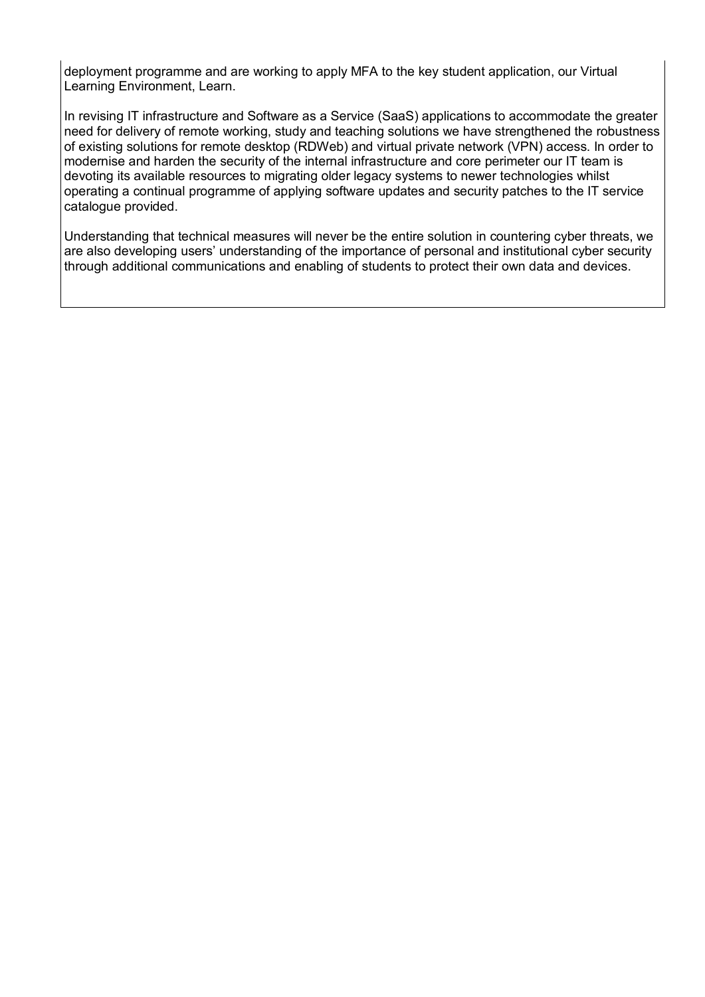deployment programme and are working to apply MFA to the key student application, our Virtual Learning Environment, Learn.

In revising IT infrastructure and Software as a Service (SaaS) applications to accommodate the greater need for delivery of remote working, study and teaching solutions we have strengthened the robustness of existing solutions for remote desktop (RDWeb) and virtual private network (VPN) access. In order to modernise and harden the security of the internal infrastructure and core perimeter our IT team is devoting its available resources to migrating older legacy systems to newer technologies whilst operating a continual programme of applying software updates and security patches to the IT service catalogue provided.

Understanding that technical measures will never be the entire solution in countering cyber threats, we are also developing users' understanding of the importance of personal and institutional cyber security through additional communications and enabling of students to protect their own data and devices.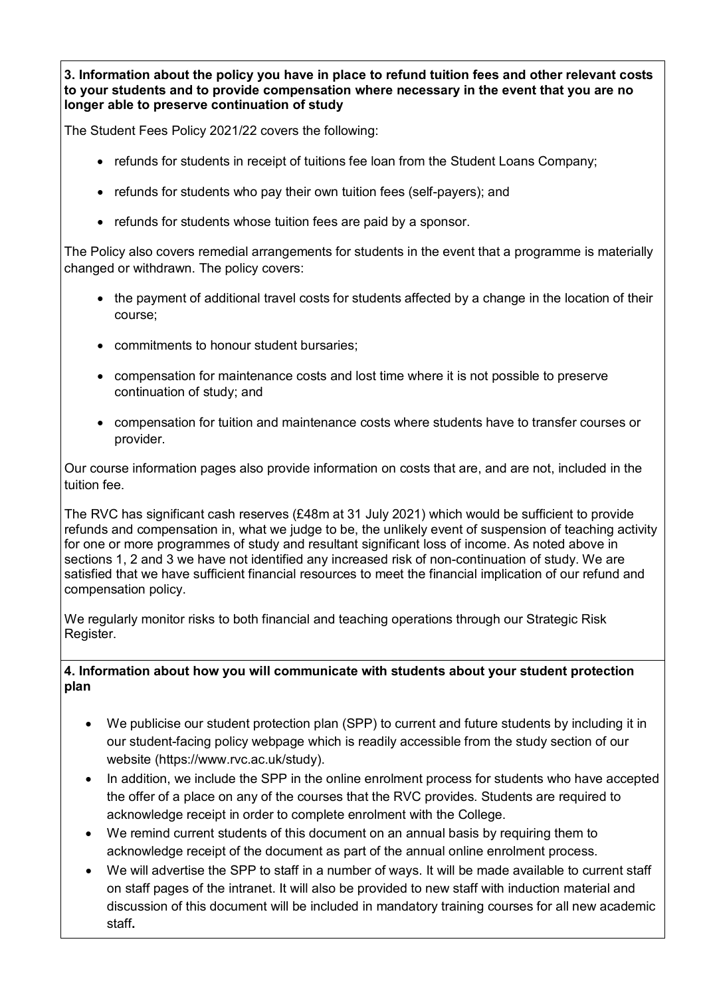**3. Information about the policy you have in place to refund tuition fees and other relevant costs to your students and to provide compensation where necessary in the event that you are no longer able to preserve continuation of study**

The Student Fees Policy 2021/22 covers the following:

- refunds for students in receipt of tuitions fee loan from the Student Loans Company;
- refunds for students who pay their own tuition fees (self-payers); and
- refunds for students whose tuition fees are paid by a sponsor.

The Policy also covers remedial arrangements for students in the event that a programme is materially changed or withdrawn. The policy covers:

- the payment of additional travel costs for students affected by a change in the location of their course;
- commitments to honour student bursaries;
- compensation for maintenance costs and lost time where it is not possible to preserve continuation of study; and
- compensation for tuition and maintenance costs where students have to transfer courses or provider.

Our course information pages also provide information on costs that are, and are not, included in the tuition fee.

The RVC has significant cash reserves (£48m at 31 July 2021) which would be sufficient to provide refunds and compensation in, what we judge to be, the unlikely event of suspension of teaching activity for one or more programmes of study and resultant significant loss of income. As noted above in sections 1, 2 and 3 we have not identified any increased risk of non-continuation of study. We are satisfied that we have sufficient financial resources to meet the financial implication of our refund and compensation policy.

We regularly monitor risks to both financial and teaching operations through our Strategic Risk Register.

#### **4. Information about how you will communicate with students about your student protection plan**

- We publicise our student protection plan (SPP) to current and future students by including it in our student-facing policy webpage which is readily accessible from the study section of our website (https://www.rvc.ac.uk/study).
- In addition, we include the SPP in the online enrolment process for students who have accepted the offer of a place on any of the courses that the RVC provides. Students are required to acknowledge receipt in order to complete enrolment with the College.
- We remind current students of this document on an annual basis by requiring them to acknowledge receipt of the document as part of the annual online enrolment process.
- We will advertise the SPP to staff in a number of ways. It will be made available to current staff on staff pages of the intranet. It will also be provided to new staff with induction material and discussion of this document will be included in mandatory training courses for all new academic staff**.**